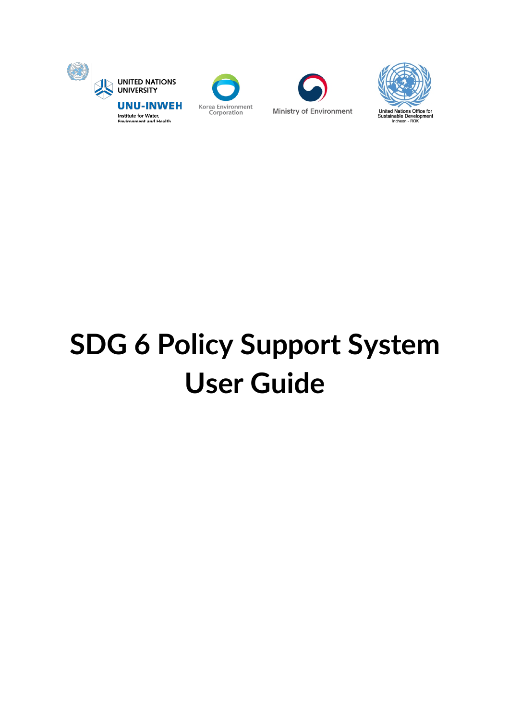







# **SDG 6 Policy Support System User Guide**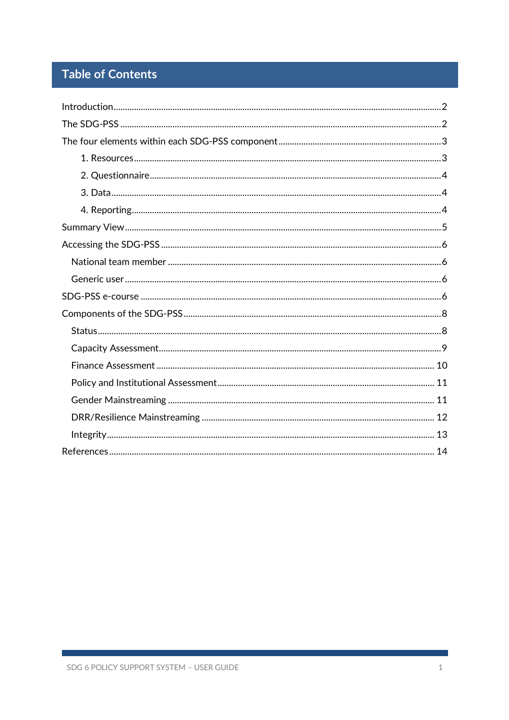# **Table of Contents**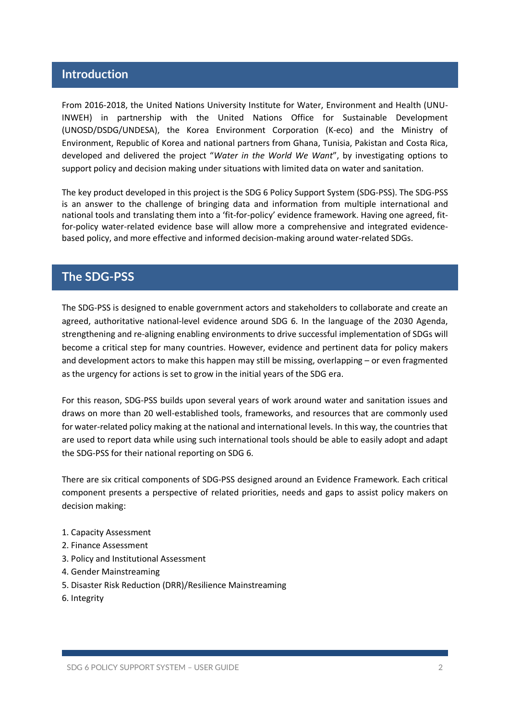# **Introduction**

From 2016-2018, the United Nations University Institute for Water, Environment and Health (UNU-INWEH) in partnership with the United Nations Office for Sustainable Development (UNOSD/DSDG/UNDESA), the Korea Environment Corporation (K-eco) and the Ministry of Environment, Republic of Korea and national partners from Ghana, Tunisia, Pakistan and Costa Rica, developed and delivered the project "*Water in the World We Want*", by investigating options to support policy and decision making under situations with limited data on water and sanitation.

The key product developed in this project is the SDG 6 Policy Support System (SDG-PSS). The SDG-PSS is an answer to the challenge of bringing data and information from multiple international and national tools and translating them into a 'fit-for-policy' evidence framework. Having one agreed, fitfor-policy water-related evidence base will allow more a comprehensive and integrated evidencebased policy, and more effective and informed decision-making around water-related SDGs.

# **The SDG-PSS**

The SDG-PSS is designed to enable government actors and stakeholders to collaborate and create an agreed, authoritative national-level evidence around SDG 6. In the language of the 2030 Agenda, strengthening and re-aligning enabling environments to drive successful implementation of SDGs will become a critical step for many countries. However, evidence and pertinent data for policy makers and development actors to make this happen may still be missing, overlapping – or even fragmented as the urgency for actions is set to grow in the initial years of the SDG era.

For this reason, SDG-PSS builds upon several years of work around water and sanitation issues and draws on more than 20 well-established tools, frameworks, and resources that are commonly used for water-related policy making at the national and international levels. In this way, the countries that are used to report data while using such international tools should be able to easily adopt and adapt the SDG-PSS for their national reporting on SDG 6.

There are six critical components of SDG-PSS designed around an Evidence Framework. Each critical component presents a perspective of related priorities, needs and gaps to assist policy makers on decision making:

- 1. Capacity Assessment
- 2. Finance Assessment
- 3. Policy and Institutional Assessment
- 4. Gender Mainstreaming
- 5. Disaster Risk Reduction (DRR)/Resilience Mainstreaming
- 6. Integrity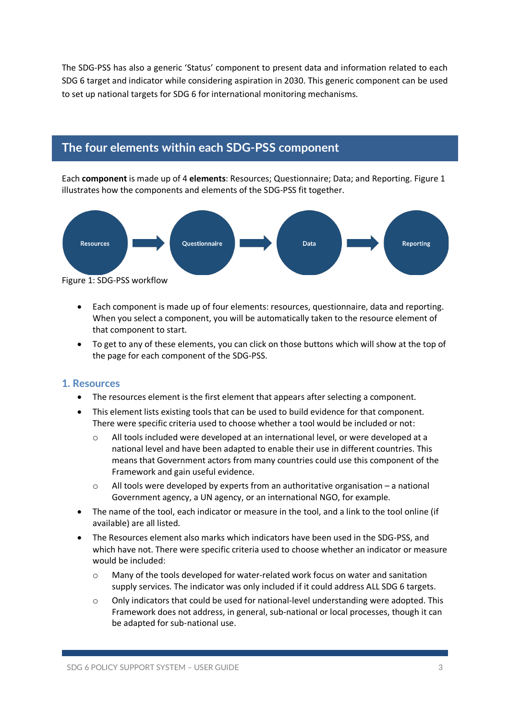The SDG-PSS has also a generic 'Status' component to present data and information related to each SDG 6 target and indicator while considering aspiration in 2030. This generic component can be used to set up national targets for SDG 6 for international monitoring mechanisms.

# **The four elements within each SDG-PSS component**

Each **component** is made up of 4 **elements**: Resources; Questionnaire; Data; and Reporting. Figure 1 illustrates how the components and elements of the SDG-PSS fit together.



- Each component is made up of four elements: resources, questionnaire, data and reporting. When you select a component, you will be automatically taken to the resource element of that component to start.
- To get to any of these elements, you can click on those buttons which will show at the top of the page for each component of the SDG-PSS.

### **1. Resources**

- The resources element is the first element that appears after selecting a component.
- This element lists existing tools that can be used to build evidence for that component. There were specific criteria used to choose whether a tool would be included or not:
	- o All tools included were developed at an international level, or were developed at a national level and have been adapted to enable their use in different countries. This means that Government actors from many countries could use this component of the Framework and gain useful evidence.
	- $\circ$  All tools were developed by experts from an authoritative organisation a national Government agency, a UN agency, or an international NGO, for example.
- The name of the tool, each indicator or measure in the tool, and a link to the tool online (if available) are all listed.
- The Resources element also marks which indicators have been used in the SDG-PSS, and which have not. There were specific criteria used to choose whether an indicator or measure would be included:
	- o Many of the tools developed for water-related work focus on water and sanitation supply services. The indicator was only included if it could address ALL SDG 6 targets.
	- o Only indicators that could be used for national-level understanding were adopted. This Framework does not address, in general, sub-national or local processes, though it can be adapted for sub-national use.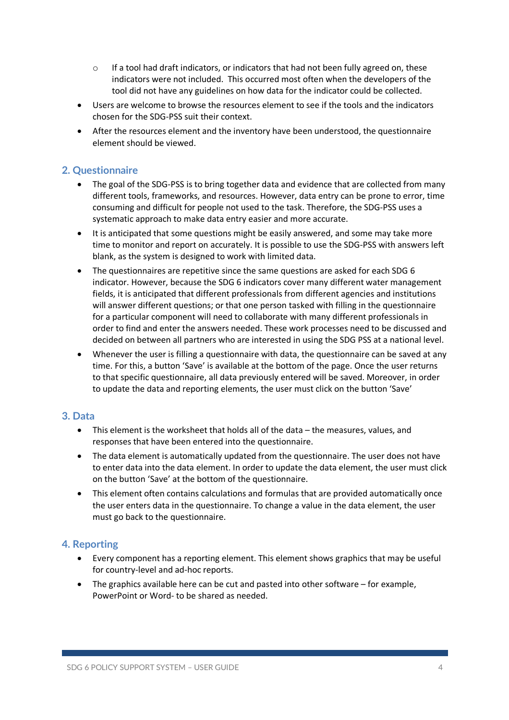- $\circ$  If a tool had draft indicators, or indicators that had not been fully agreed on, these indicators were not included. This occurred most often when the developers of the tool did not have any guidelines on how data for the indicator could be collected.
- Users are welcome to browse the resources element to see if the tools and the indicators chosen for the SDG-PSS suit their context.
- After the resources element and the inventory have been understood, the questionnaire element should be viewed.

### **2. Questionnaire**

- The goal of the SDG-PSS is to bring together data and evidence that are collected from many different tools, frameworks, and resources. However, data entry can be prone to error, time consuming and difficult for people not used to the task. Therefore, the SDG-PSS uses a systematic approach to make data entry easier and more accurate.
- It is anticipated that some questions might be easily answered, and some may take more time to monitor and report on accurately. It is possible to use the SDG-PSS with answers left blank, as the system is designed to work with limited data.
- The questionnaires are repetitive since the same questions are asked for each SDG 6 indicator. However, because the SDG 6 indicators cover many different water management fields, it is anticipated that different professionals from different agencies and institutions will answer different questions; or that one person tasked with filling in the questionnaire for a particular component will need to collaborate with many different professionals in order to find and enter the answers needed. These work processes need to be discussed and decided on between all partners who are interested in using the SDG PSS at a national level.
- Whenever the user is filling a questionnaire with data, the questionnaire can be saved at any time. For this, a button 'Save' is available at the bottom of the page. Once the user returns to that specific questionnaire, all data previously entered will be saved. Moreover, in order to update the data and reporting elements, the user must click on the button 'Save'

### **3. Data**

- This element is the worksheet that holds all of the data the measures, values, and responses that have been entered into the questionnaire.
- The data element is automatically updated from the questionnaire. The user does not have to enter data into the data element. In order to update the data element, the user must click on the button 'Save' at the bottom of the questionnaire.
- This element often contains calculations and formulas that are provided automatically once the user enters data in the questionnaire. To change a value in the data element, the user must go back to the questionnaire.

### **4. Reporting**

- Every component has a reporting element. This element shows graphics that may be useful for country-level and ad-hoc reports.
- The graphics available here can be cut and pasted into other software for example, PowerPoint or Word- to be shared as needed.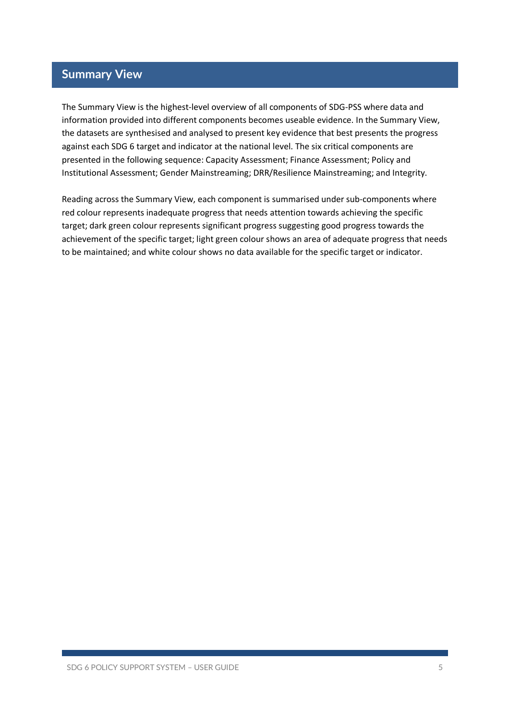# **Summary View**

The Summary View is the highest-level overview of all components of SDG-PSS where data and information provided into different components becomes useable evidence. In the Summary View, the datasets are synthesised and analysed to present key evidence that best presents the progress against each SDG 6 target and indicator at the national level. The six critical components are presented in the following sequence: Capacity Assessment; Finance Assessment; Policy and Institutional Assessment; Gender Mainstreaming; DRR/Resilience Mainstreaming; and Integrity.

Reading across the Summary View, each component is summarised under sub-components where red colour represents inadequate progress that needs attention towards achieving the specific target; dark green colour represents significant progress suggesting good progress towards the achievement of the specific target; light green colour shows an area of adequate progress that needs to be maintained; and white colour shows no data available for the specific target or indicator.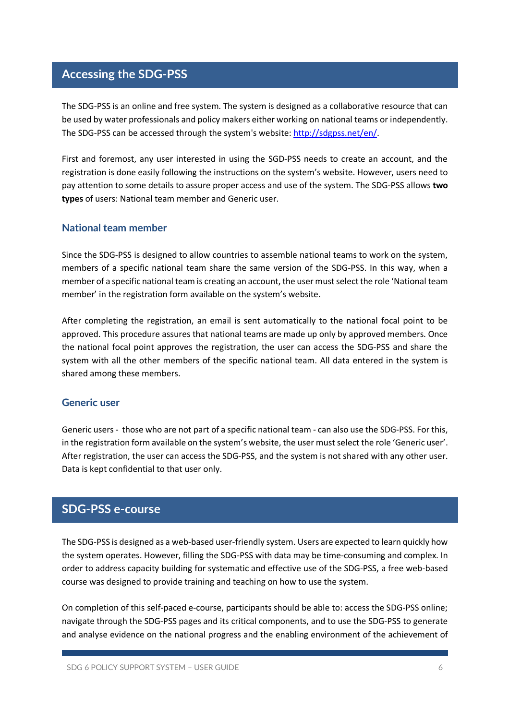# **Accessing the SDG-PSS**

The SDG-PSS is an online and free system. The system is designed as a collaborative resource that can be used by water professionals and policy makers either working on national teams or independently. The SDG-PSS can be accessed through the system's website: http://sdgpss.net/en/.

First and foremost, any user interested in using the SGD-PSS needs to create an account, and the registration is done easily following the instructions on the system's website. However, users need to pay attention to some details to assure proper access and use of the system. The SDG-PSS allows **two types** of users: National team member and Generic user.

### **National team member**

Since the SDG-PSS is designed to allow countries to assemble national teams to work on the system, members of a specific national team share the same version of the SDG-PSS. In this way, when a member of a specific national team is creating an account, the user must select the role 'National team member' in the registration form available on the system's website.

After completing the registration, an email is sent automatically to the national focal point to be approved. This procedure assures that national teams are made up only by approved members. Once the national focal point approves the registration, the user can access the SDG-PSS and share the system with all the other members of the specific national team. All data entered in the system is shared among these members.

### **Generic user**

Generic users - those who are not part of a specific national team - can also use the SDG-PSS. For this, in the registration form available on the system's website, the user must select the role 'Generic user'. After registration, the user can access the SDG-PSS, and the system is not shared with any other user. Data is kept confidential to that user only.

# **SDG-PSS e-course**

The SDG-PSS is designed as a web-based user-friendly system. Users are expected to learn quickly how the system operates. However, filling the SDG-PSS with data may be time-consuming and complex. In order to address capacity building for systematic and effective use of the SDG-PSS, a free web-based course was designed to provide training and teaching on how to use the system.

On completion of this self-paced e-course, participants should be able to: access the SDG-PSS online; navigate through the SDG-PSS pages and its critical components, and to use the SDG-PSS to generate and analyse evidence on the national progress and the enabling environment of the achievement of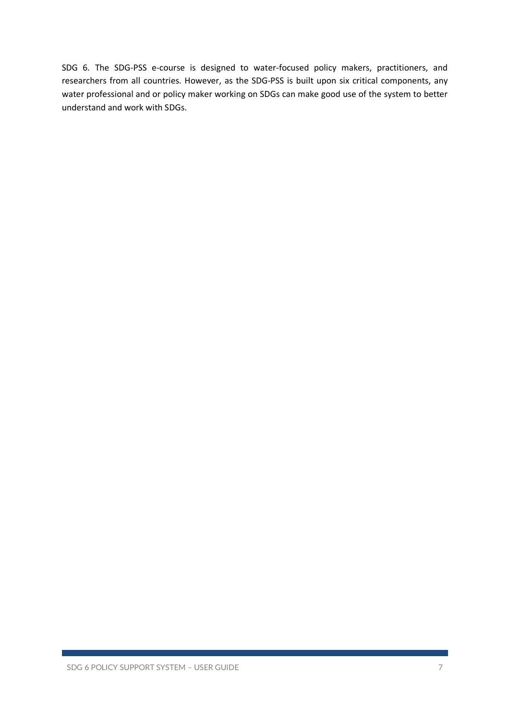SDG 6. The SDG-PSS e-course is designed to water-focused policy makers, practitioners, and researchers from all countries. However, as the SDG-PSS is built upon six critical components, any water professional and or policy maker working on SDGs can make good use of the system to better understand and work with SDGs.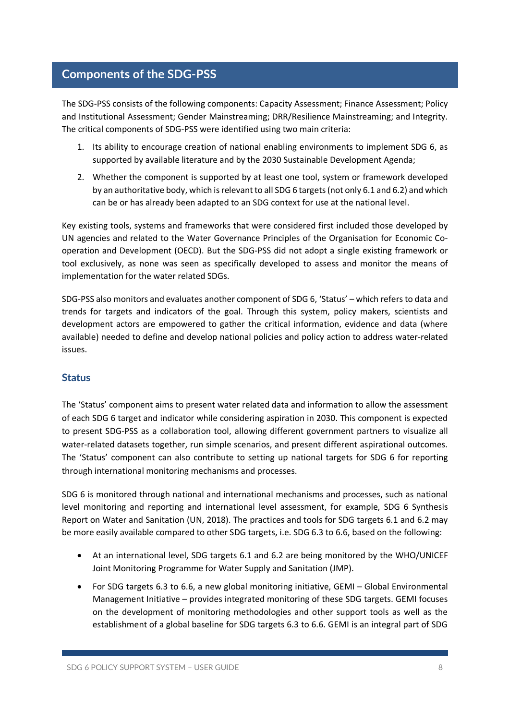# **Components of the SDG-PSS**

The SDG-PSS consists of the following components: Capacity Assessment; Finance Assessment; Policy and Institutional Assessment; Gender Mainstreaming; DRR/Resilience Mainstreaming; and Integrity. The critical components of SDG-PSS were identified using two main criteria:

- 1. Its ability to encourage creation of national enabling environments to implement SDG 6, as supported by available literature and by the 2030 Sustainable Development Agenda;
- 2. Whether the component is supported by at least one tool, system or framework developed by an authoritative body, which is relevant to all SDG 6 targets (not only 6.1 and 6.2) and which can be or has already been adapted to an SDG context for use at the national level.

Key existing tools, systems and frameworks that were considered first included those developed by UN agencies and related to the Water Governance Principles of the Organisation for Economic Cooperation and Development (OECD). But the SDG-PSS did not adopt a single existing framework or tool exclusively, as none was seen as specifically developed to assess and monitor the means of implementation for the water related SDGs.

SDG-PSS also monitors and evaluates another component of SDG 6, 'Status' – which refers to data and trends for targets and indicators of the goal. Through this system, policy makers, scientists and development actors are empowered to gather the critical information, evidence and data (where available) needed to define and develop national policies and policy action to address water-related issues.

### **Status**

The 'Status' component aims to present water related data and information to allow the assessment of each SDG 6 target and indicator while considering aspiration in 2030. This component is expected to present SDG-PSS as a collaboration tool, allowing different government partners to visualize all water-related datasets together, run simple scenarios, and present different aspirational outcomes. The 'Status' component can also contribute to setting up national targets for SDG 6 for reporting through international monitoring mechanisms and processes.

SDG 6 is monitored through national and international mechanisms and processes, such as national level monitoring and reporting and international level assessment, for example, SDG 6 Synthesis Report on Water and Sanitation (UN, 2018). The practices and tools for SDG targets 6.1 and 6.2 may be more easily available compared to other SDG targets, i.e. SDG 6.3 to 6.6, based on the following:

- At an international level, SDG targets 6.1 and 6.2 are being monitored by the WHO/UNICEF Joint Monitoring Programme for Water Supply and Sanitation (JMP).
- For SDG targets 6.3 to 6.6, a new global monitoring initiative, GEMI Global Environmental Management Initiative – provides integrated monitoring of these SDG targets. GEMI focuses on the development of monitoring methodologies and other support tools as well as the establishment of a global baseline for SDG targets 6.3 to 6.6. GEMI is an integral part of SDG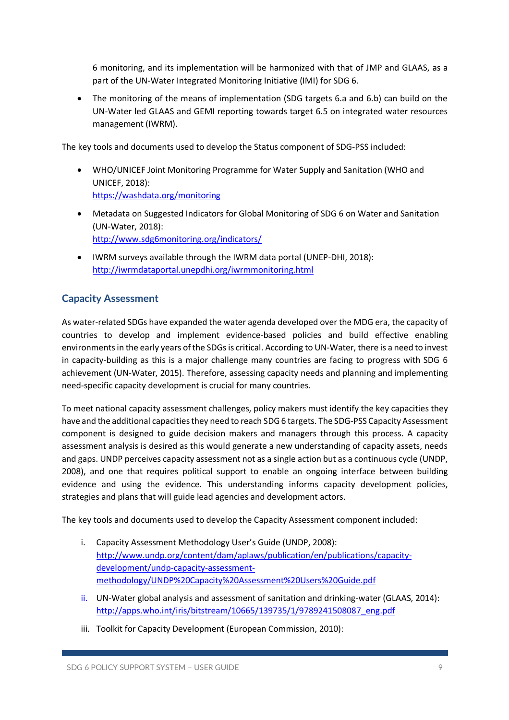6 monitoring, and its implementation will be harmonized with that of JMP and GLAAS, as a part of the UN-Water Integrated Monitoring Initiative (IMI) for SDG 6.

• The monitoring of the means of implementation (SDG targets 6.a and 6.b) can build on the UN-Water led GLAAS and GEMI reporting towards target 6.5 on integrated water resources management (IWRM).

The key tools and documents used to develop the Status component of SDG-PSS included:

- WHO/UNICEF Joint Monitoring Programme for Water Supply and Sanitation (WHO and UNICEF, 2018): https://washdata.org/monitoring
- Metadata on Suggested Indicators for Global Monitoring of SDG 6 on Water and Sanitation (UN-Water, 2018): http://www.sdg6monitoring.org/indicators/
- IWRM surveys available through the IWRM data portal (UNEP-DHI, 2018): http://iwrmdataportal.unepdhi.org/iwrmmonitoring.html

# **Capacity Assessment**

As water-related SDGs have expanded the water agenda developed over the MDG era, the capacity of countries to develop and implement evidence-based policies and build effective enabling environments in the early years of the SDGs is critical. According to UN-Water, there is a need to invest in capacity-building as this is a major challenge many countries are facing to progress with SDG 6 achievement (UN-Water, 2015). Therefore, assessing capacity needs and planning and implementing need-specific capacity development is crucial for many countries.

To meet national capacity assessment challenges, policy makers must identify the key capacities they have and the additional capacities they need to reach SDG 6 targets. The SDG-PSS Capacity Assessment component is designed to guide decision makers and managers through this process. A capacity assessment analysis is desired as this would generate a new understanding of capacity assets, needs and gaps. UNDP perceives capacity assessment not as a single action but as a continuous cycle (UNDP, 2008), and one that requires political support to enable an ongoing interface between building evidence and using the evidence. This understanding informs capacity development policies, strategies and plans that will guide lead agencies and development actors.

The key tools and documents used to develop the Capacity Assessment component included:

- i. Capacity Assessment Methodology User's Guide (UNDP, 2008): http://www.undp.org/content/dam/aplaws/publication/en/publications/capacitydevelopment/undp-capacity-assessmentmethodology/UNDP%20Capacity%20Assessment%20Users%20Guide.pdf
- ii. UN-Water global analysis and assessment of sanitation and drinking-water (GLAAS, 2014): http://apps.who.int/iris/bitstream/10665/139735/1/9789241508087\_eng.pdf
- iii. Toolkit for Capacity Development (European Commission, 2010):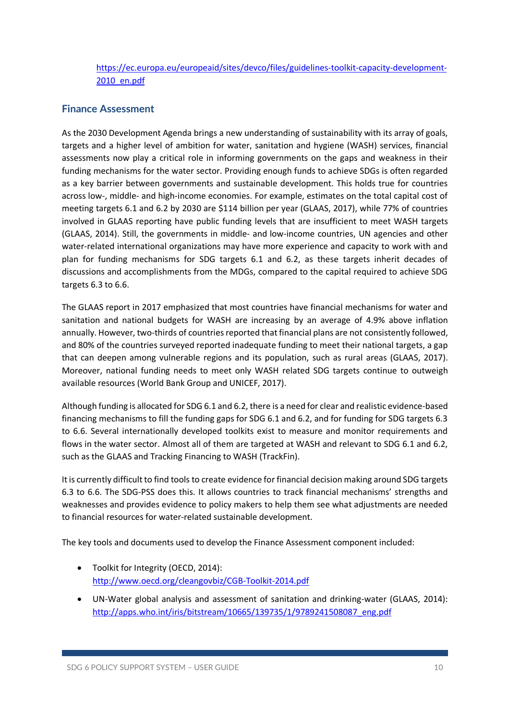https://ec.europa.eu/europeaid/sites/devco/files/guidelines-toolkit-capacity-development-2010\_en.pdf

### **Finance Assessment**

As the 2030 Development Agenda brings a new understanding of sustainability with its array of goals, targets and a higher level of ambition for water, sanitation and hygiene (WASH) services, financial assessments now play a critical role in informing governments on the gaps and weakness in their funding mechanisms for the water sector. Providing enough funds to achieve SDGs is often regarded as a key barrier between governments and sustainable development. This holds true for countries across low-, middle- and high-income economies. For example, estimates on the total capital cost of meeting targets 6.1 and 6.2 by 2030 are \$114 billion per year (GLAAS, 2017), while 77% of countries involved in GLAAS reporting have public funding levels that are insufficient to meet WASH targets (GLAAS, 2014). Still, the governments in middle- and low-income countries, UN agencies and other water-related international organizations may have more experience and capacity to work with and plan for funding mechanisms for SDG targets 6.1 and 6.2, as these targets inherit decades of discussions and accomplishments from the MDGs, compared to the capital required to achieve SDG targets 6.3 to 6.6.

The GLAAS report in 2017 emphasized that most countries have financial mechanisms for water and sanitation and national budgets for WASH are increasing by an average of 4.9% above inflation annually. However, two-thirds of countries reported that financial plans are not consistently followed, and 80% of the countries surveyed reported inadequate funding to meet their national targets, a gap that can deepen among vulnerable regions and its population, such as rural areas (GLAAS, 2017). Moreover, national funding needs to meet only WASH related SDG targets continue to outweigh available resources (World Bank Group and UNICEF, 2017).

Although funding is allocated for SDG 6.1 and 6.2, there is a need for clear and realistic evidence-based financing mechanisms to fill the funding gaps for SDG 6.1 and 6.2, and for funding for SDG targets 6.3 to 6.6. Several internationally developed toolkits exist to measure and monitor requirements and flows in the water sector. Almost all of them are targeted at WASH and relevant to SDG 6.1 and 6.2, such as the GLAAS and Tracking Financing to WASH (TrackFin).

It is currently difficult to find tools to create evidence for financial decision making around SDG targets 6.3 to 6.6. The SDG-PSS does this. It allows countries to track financial mechanisms' strengths and weaknesses and provides evidence to policy makers to help them see what adjustments are needed to financial resources for water-related sustainable development.

The key tools and documents used to develop the Finance Assessment component included:

- Toolkit for Integrity (OECD, 2014): http://www.oecd.org/cleangovbiz/CGB-Toolkit-2014.pdf
- UN-Water global analysis and assessment of sanitation and drinking-water (GLAAS, 2014): http://apps.who.int/iris/bitstream/10665/139735/1/9789241508087\_eng.pdf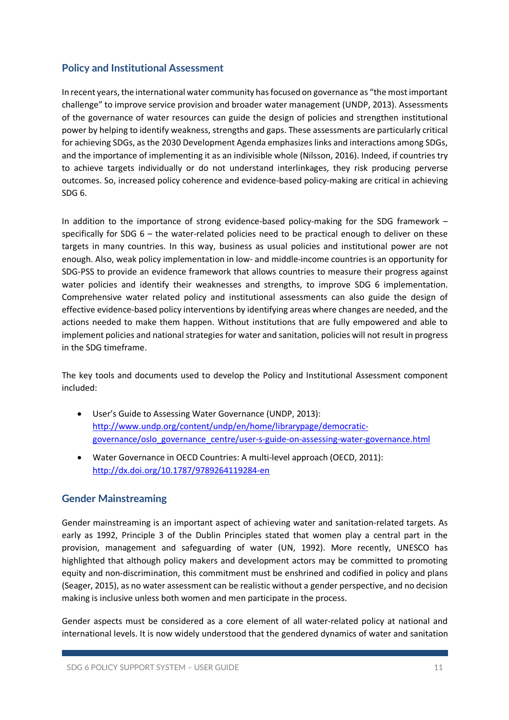## **Policy and Institutional Assessment**

In recent years, the international water community has focused on governance as "the most important challenge" to improve service provision and broader water management (UNDP, 2013). Assessments of the governance of water resources can guide the design of policies and strengthen institutional power by helping to identify weakness, strengths and gaps. These assessments are particularly critical for achieving SDGs, as the 2030 Development Agenda emphasizes links and interactions among SDGs, and the importance of implementing it as an indivisible whole (Nilsson, 2016). Indeed, if countries try to achieve targets individually or do not understand interlinkages, they risk producing perverse outcomes. So, increased policy coherence and evidence-based policy-making are critical in achieving SDG 6.

In addition to the importance of strong evidence-based policy-making for the SDG framework – specifically for SDG 6 – the water-related policies need to be practical enough to deliver on these targets in many countries. In this way, business as usual policies and institutional power are not enough. Also, weak policy implementation in low- and middle-income countries is an opportunity for SDG-PSS to provide an evidence framework that allows countries to measure their progress against water policies and identify their weaknesses and strengths, to improve SDG 6 implementation. Comprehensive water related policy and institutional assessments can also guide the design of effective evidence-based policy interventions by identifying areas where changes are needed, and the actions needed to make them happen. Without institutions that are fully empowered and able to implement policies and national strategies for water and sanitation, policies will not result in progress in the SDG timeframe.

The key tools and documents used to develop the Policy and Institutional Assessment component included:

- User's Guide to Assessing Water Governance (UNDP, 2013): http://www.undp.org/content/undp/en/home/librarypage/democraticgovernance/oslo\_governance\_centre/user-s-guide-on-assessing-water-governance.html
- Water Governance in OECD Countries: A multi-level approach (OECD, 2011): http://dx.doi.org/10.1787/9789264119284-en

### **Gender Mainstreaming**

Gender mainstreaming is an important aspect of achieving water and sanitation-related targets. As early as 1992, Principle 3 of the Dublin Principles stated that women play a central part in the provision, management and safeguarding of water (UN, 1992). More recently, UNESCO has highlighted that although policy makers and development actors may be committed to promoting equity and non-discrimination, this commitment must be enshrined and codified in policy and plans (Seager, 2015), as no water assessment can be realistic without a gender perspective, and no decision making is inclusive unless both women and men participate in the process.

Gender aspects must be considered as a core element of all water-related policy at national and international levels. It is now widely understood that the gendered dynamics of water and sanitation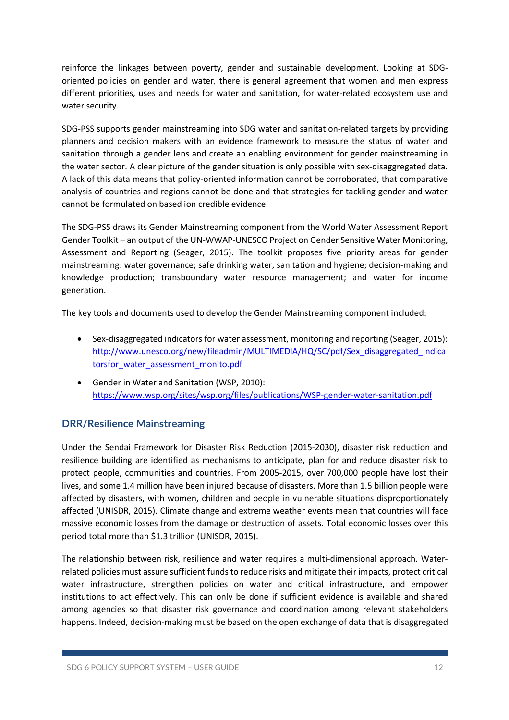reinforce the linkages between poverty, gender and sustainable development. Looking at SDGoriented policies on gender and water, there is general agreement that women and men express different priorities, uses and needs for water and sanitation, for water-related ecosystem use and water security.

SDG-PSS supports gender mainstreaming into SDG water and sanitation-related targets by providing planners and decision makers with an evidence framework to measure the status of water and sanitation through a gender lens and create an enabling environment for gender mainstreaming in the water sector. A clear picture of the gender situation is only possible with sex-disaggregated data. A lack of this data means that policy-oriented information cannot be corroborated, that comparative analysis of countries and regions cannot be done and that strategies for tackling gender and water cannot be formulated on based ion credible evidence.

The SDG-PSS draws its Gender Mainstreaming component from the World Water Assessment Report Gender Toolkit – an output of the UN-WWAP-UNESCO Project on Gender Sensitive Water Monitoring, Assessment and Reporting (Seager, 2015). The toolkit proposes five priority areas for gender mainstreaming: water governance; safe drinking water, sanitation and hygiene; decision-making and knowledge production; transboundary water resource management; and water for income generation.

The key tools and documents used to develop the Gender Mainstreaming component included:

- Sex-disaggregated indicators for water assessment, monitoring and reporting (Seager, 2015): http://www.unesco.org/new/fileadmin/MULTIMEDIA/HQ/SC/pdf/Sex\_disaggregated\_indica torsfor\_water\_assessment\_monito.pdf
- Gender in Water and Sanitation (WSP, 2010): https://www.wsp.org/sites/wsp.org/files/publications/WSP-gender-water-sanitation.pdf

### **DRR/Resilience Mainstreaming**

Under the Sendai Framework for Disaster Risk Reduction (2015-2030), disaster risk reduction and resilience building are identified as mechanisms to anticipate, plan for and reduce disaster risk to protect people, communities and countries. From 2005-2015, over 700,000 people have lost their lives, and some 1.4 million have been injured because of disasters. More than 1.5 billion people were affected by disasters, with women, children and people in vulnerable situations disproportionately affected (UNISDR, 2015). Climate change and extreme weather events mean that countries will face massive economic losses from the damage or destruction of assets. Total economic losses over this period total more than \$1.3 trillion (UNISDR, 2015).

The relationship between risk, resilience and water requires a multi-dimensional approach. Waterrelated policies must assure sufficient funds to reduce risks and mitigate their impacts, protect critical water infrastructure, strengthen policies on water and critical infrastructure, and empower institutions to act effectively. This can only be done if sufficient evidence is available and shared among agencies so that disaster risk governance and coordination among relevant stakeholders happens. Indeed, decision-making must be based on the open exchange of data that is disaggregated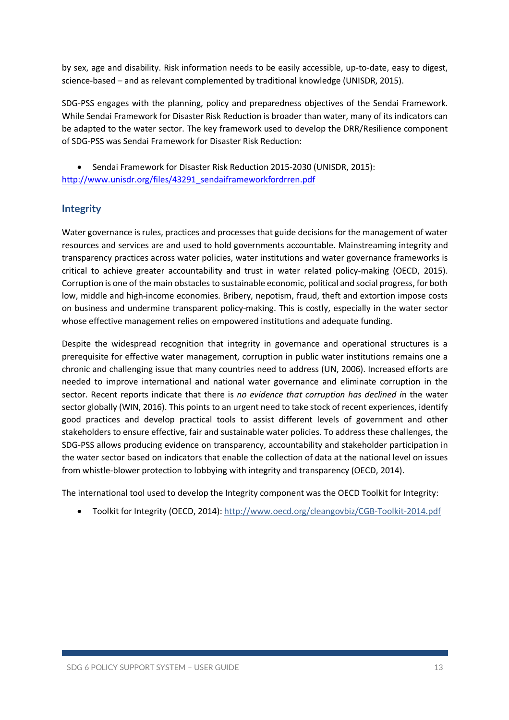by sex, age and disability. Risk information needs to be easily accessible, up-to-date, easy to digest, science-based – and as relevant complemented by traditional knowledge (UNISDR, 2015).

SDG-PSS engages with the planning, policy and preparedness objectives of the Sendai Framework. While Sendai Framework for Disaster Risk Reduction is broader than water, many of its indicators can be adapted to the water sector. The key framework used to develop the DRR/Resilience component of SDG-PSS was Sendai Framework for Disaster Risk Reduction:

• Sendai Framework for Disaster Risk Reduction 2015-2030 (UNISDR, 2015): http://www.unisdr.org/files/43291\_sendaiframeworkfordrren.pdf

### **Integrity**

Water governance is rules, practices and processes that guide decisions for the management of water resources and services are and used to hold governments accountable. Mainstreaming integrity and transparency practices across water policies, water institutions and water governance frameworks is critical to achieve greater accountability and trust in water related policy-making (OECD, 2015). Corruption is one of the main obstacles to sustainable economic, political and social progress, for both low, middle and high-income economies. Bribery, nepotism, fraud, theft and extortion impose costs on business and undermine transparent policy-making. This is costly, especially in the water sector whose effective management relies on empowered institutions and adequate funding.

Despite the widespread recognition that integrity in governance and operational structures is a prerequisite for effective water management, corruption in public water institutions remains one a chronic and challenging issue that many countries need to address (UN, 2006). Increased efforts are needed to improve international and national water governance and eliminate corruption in the sector. Recent reports indicate that there is *no evidence that corruption has declined i*n the water sector globally (WIN, 2016). This points to an urgent need to take stock of recent experiences, identify good practices and develop practical tools to assist different levels of government and other stakeholders to ensure effective, fair and sustainable water policies. To address these challenges, the SDG-PSS allows producing evidence on transparency, accountability and stakeholder participation in the water sector based on indicators that enable the collection of data at the national level on issues from whistle-blower protection to lobbying with integrity and transparency (OECD, 2014).

The international tool used to develop the Integrity component was the OECD Toolkit for Integrity:

• Toolkit for Integrity (OECD, 2014): http://www.oecd.org/cleangovbiz/CGB-Toolkit-2014.pdf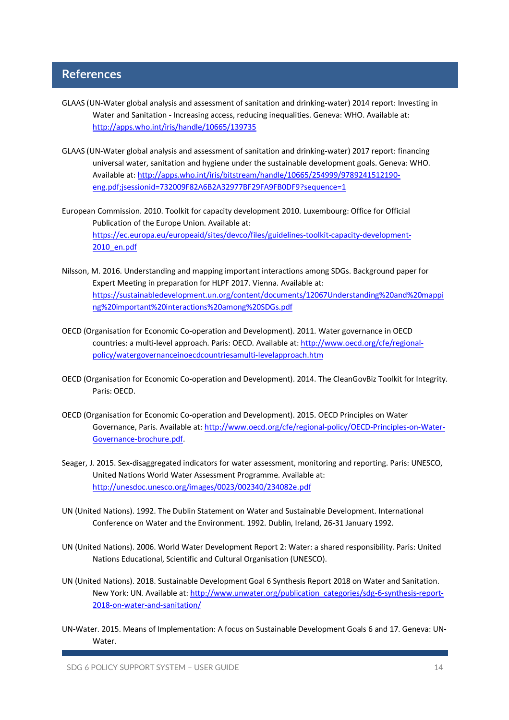# **References**

- GLAAS (UN-Water global analysis and assessment of sanitation and drinking-water) 2014 report: Investing in Water and Sanitation - Increasing access, reducing inequalities. Geneva: WHO. Available at: http://apps.who.int/iris/handle/10665/139735
- GLAAS (UN-Water global analysis and assessment of sanitation and drinking-water) 2017 report: financing universal water, sanitation and hygiene under the sustainable development goals. Geneva: WHO. Available at: http://apps.who.int/iris/bitstream/handle/10665/254999/9789241512190 eng.pdf;jsessionid=732009F82A6B2A32977BF29FA9FB0DF9?sequence=1
- European Commission. 2010. Toolkit for capacity development 2010. Luxembourg: Office for Official Publication of the Europe Union. Available at: https://ec.europa.eu/europeaid/sites/devco/files/guidelines-toolkit-capacity-development-2010\_en.pdf
- Nilsson, M. 2016. Understanding and mapping important interactions among SDGs. Background paper for Expert Meeting in preparation for HLPF 2017. Vienna. Available at: https://sustainabledevelopment.un.org/content/documents/12067Understanding%20and%20mappi ng%20important%20interactions%20among%20SDGs.pdf
- OECD (Organisation for Economic Co-operation and Development). 2011. Water governance in OECD countries: a multi-level approach. Paris: OECD. Available at: http://www.oecd.org/cfe/regionalpolicy/watergovernanceinoecdcountriesamulti-levelapproach.htm
- OECD (Organisation for Economic Co-operation and Development). 2014. The CleanGovBiz Toolkit for Integrity. Paris: OECD.
- OECD (Organisation for Economic Co-operation and Development). 2015. OECD Principles on Water Governance, Paris. Available at: http://www.oecd.org/cfe/regional-policy/OECD-Principles-on-Water-Governance-brochure.pdf.
- Seager, J. 2015. Sex-disaggregated indicators for water assessment, monitoring and reporting. Paris: UNESCO, United Nations World Water Assessment Programme. Available at: http://unesdoc.unesco.org/images/0023/002340/234082e.pdf
- UN (United Nations). 1992. The Dublin Statement on Water and Sustainable Development. International Conference on Water and the Environment. 1992. Dublin, Ireland, 26-31 January 1992.
- UN (United Nations). 2006. World Water Development Report 2: Water: a shared responsibility. Paris: United Nations Educational, Scientific and Cultural Organisation (UNESCO).
- UN (United Nations). 2018. Sustainable Development Goal 6 Synthesis Report 2018 on Water and Sanitation. New York: UN. Available at: http://www.unwater.org/publication\_categories/sdg-6-synthesis-report-2018-on-water-and-sanitation/
- UN-Water. 2015. Means of Implementation: A focus on Sustainable Development Goals 6 and 17. Geneva: UN-Water.